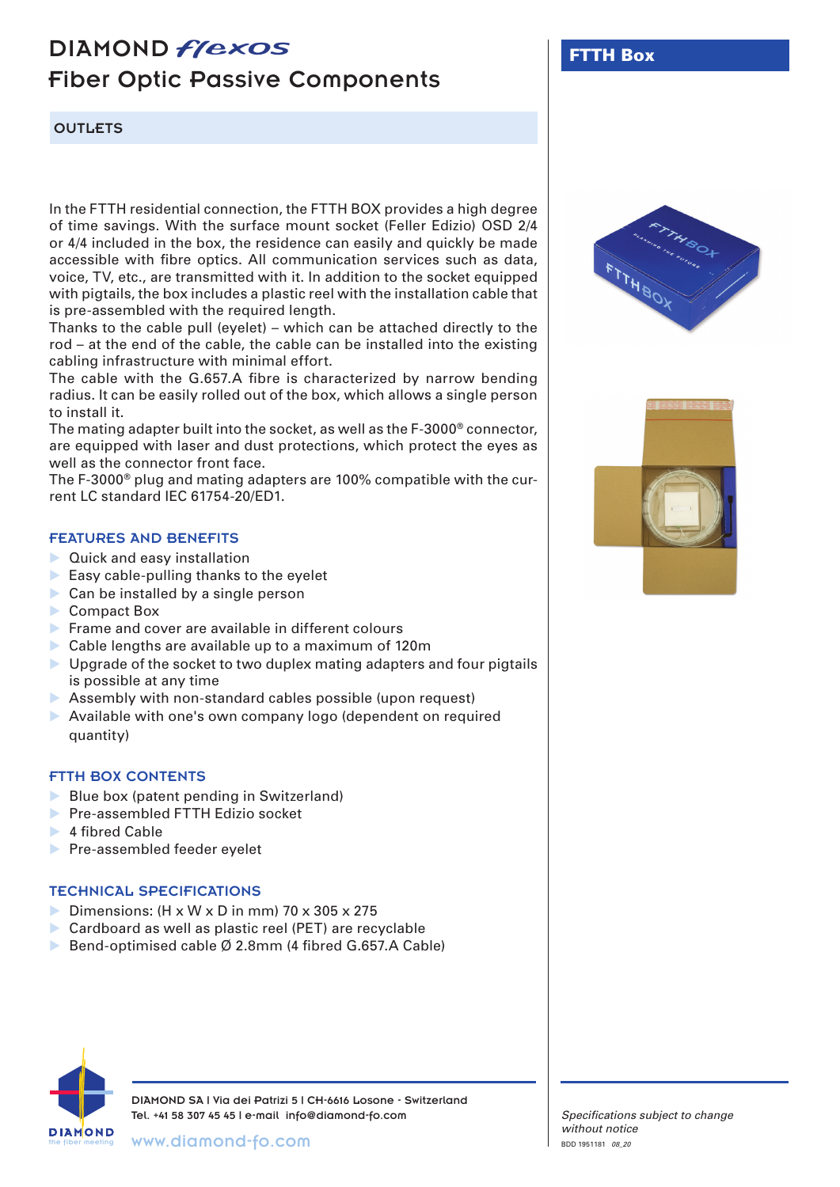# DIAMOND *flexos* Fiber Optic Passive Components

# OUTLETS

In the FTTH residential connection, the FTTH BOX provides a high degree of time savings. With the surface mount socket (Feller Edizio) OSD 2/4 or 4/4 included in the box, the residence can easily and quickly be made accessible with fibre optics. All communication services such as data, voice, TV, etc., are transmitted with it. In addition to the socket equipped with pigtails, the box includes a plastic reel with the installation cable that is pre-assembled with the required length.

Thanks to the cable pull (eyelet) – which can be attached directly to the rod – at the end of the cable, the cable can be installed into the existing cabling infrastructure with minimal effort.

The cable with the G.657.A fibre is characterized by narrow bending radius. It can be easily rolled out of the box, which allows a single person to install it.

The mating adapter built into the socket, as well as the F-3000® connector, are equipped with laser and dust protections, which protect the eyes as well as the connector front face.

The F-3000® plug and mating adapters are 100% compatible with the current LC standard IEC 61754-20/ED1.

### FEATURES AND BENEFITS

- **Duick and easy installation**
- $\blacktriangleright$  Easy cable-pulling thanks to the eyelet
- Can be installed by a single person
- Compact Box
- Frame and cover are available in different colours
- Cable lengths are available up to a maximum of 120m
- $\triangleright$  Upgrade of the socket to two duplex mating adapters and four pigtails is possible at any time
- Assembly with non-standard cables possible (upon request)
- Available with one's own company logo (dependent on required quantity)

#### FTTH BOX CONTENTS

- Blue box (patent pending in Switzerland)
- **Pre-assembled FTTH Edizio socket**
- $\blacktriangleright$  4 fibred Cable
- **Pre-assembled feeder eyelet**

# TECHNICAL SPECIFICATIONS

- Dimensions:  $(H \times W \times D)$  in mm $)$  70  $\times$  305  $\times$  275
- Cardboard as well as plastic reel (PET) are recyclable
- ▶ Bend-optimised cable Ø 2.8mm (4 fibred G.657.A Cable)